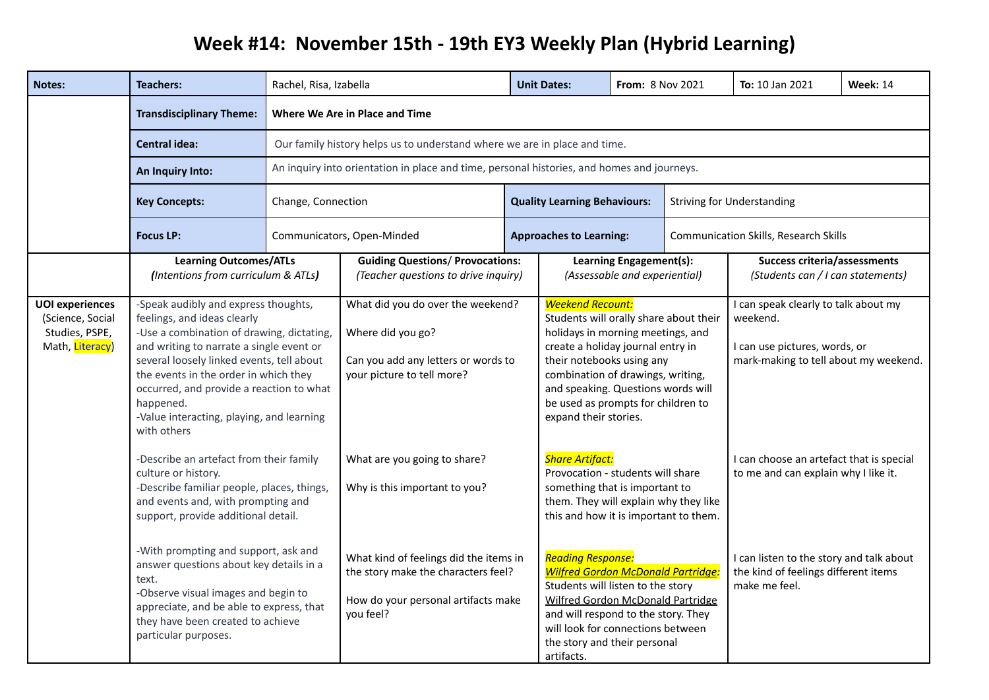## **Week #14: November 15th - 19th EY3 Weekly Plan (Hybrid Learning)**

| <b>Notes:</b>                                                                   | <b>Teachers:</b>                                                                                                                                                                                                                                                                                                                                                       | Rachel, Risa, Izabella                                                                                                                                                                                    |                                                                                                                                   |  | <b>Unit Dates:</b>                                                                                                                                                                                                                                                                                                 | From: 8 Nov 2021                                         |                                                                                                   | To: 10 Jan 2021                                                                                                            | <b>Week: 14</b> |
|---------------------------------------------------------------------------------|------------------------------------------------------------------------------------------------------------------------------------------------------------------------------------------------------------------------------------------------------------------------------------------------------------------------------------------------------------------------|-----------------------------------------------------------------------------------------------------------------------------------------------------------------------------------------------------------|-----------------------------------------------------------------------------------------------------------------------------------|--|--------------------------------------------------------------------------------------------------------------------------------------------------------------------------------------------------------------------------------------------------------------------------------------------------------------------|----------------------------------------------------------|---------------------------------------------------------------------------------------------------|----------------------------------------------------------------------------------------------------------------------------|-----------------|
|                                                                                 | <b>Transdisciplinary Theme:</b>                                                                                                                                                                                                                                                                                                                                        | Where We Are in Place and Time<br>Our family history helps us to understand where we are in place and time.<br>An inquiry into orientation in place and time, personal histories, and homes and journeys. |                                                                                                                                   |  |                                                                                                                                                                                                                                                                                                                    |                                                          |                                                                                                   |                                                                                                                            |                 |
|                                                                                 | <b>Central idea:</b>                                                                                                                                                                                                                                                                                                                                                   |                                                                                                                                                                                                           |                                                                                                                                   |  |                                                                                                                                                                                                                                                                                                                    |                                                          |                                                                                                   |                                                                                                                            |                 |
|                                                                                 | An Inquiry Into:                                                                                                                                                                                                                                                                                                                                                       |                                                                                                                                                                                                           |                                                                                                                                   |  |                                                                                                                                                                                                                                                                                                                    |                                                          |                                                                                                   |                                                                                                                            |                 |
|                                                                                 | <b>Key Concepts:</b>                                                                                                                                                                                                                                                                                                                                                   | Change, Connection                                                                                                                                                                                        |                                                                                                                                   |  | <b>Quality Learning Behaviours:</b>                                                                                                                                                                                                                                                                                |                                                          |                                                                                                   | <b>Striving for Understanding</b>                                                                                          |                 |
|                                                                                 | <b>Focus LP:</b>                                                                                                                                                                                                                                                                                                                                                       |                                                                                                                                                                                                           | Communicators, Open-Minded                                                                                                        |  | <b>Approaches to Learning:</b>                                                                                                                                                                                                                                                                                     |                                                          |                                                                                                   | <b>Communication Skills, Research Skills</b>                                                                               |                 |
|                                                                                 | <b>Learning Outcomes/ATLs</b><br>(Intentions from curriculum & ATLs)                                                                                                                                                                                                                                                                                                   |                                                                                                                                                                                                           | <b>Guiding Questions/ Provocations:</b><br>(Teacher questions to drive inquiry)                                                   |  |                                                                                                                                                                                                                                                                                                                    | Learning Engagement(s):<br>(Assessable and experiential) |                                                                                                   | <b>Success criteria/assessments</b><br>(Students can / I can statements)                                                   |                 |
| <b>UOI</b> experiences<br>(Science, Social<br>Studies, PSPE,<br>Math, Literacy) | -Speak audibly and express thoughts,<br>feelings, and ideas clearly<br>-Use a combination of drawing, dictating<br>and writing to narrate a single event or<br>several loosely linked events, tell about<br>the events in the order in which they<br>occurred, and provide a reaction to what<br>happened.<br>-Value interacting, playing, and learning<br>with others |                                                                                                                                                                                                           | What did you do over the weekend?<br>Where did you go?<br>Can you add any letters or words to<br>your picture to tell more?       |  | <b>Weekend Recount:</b><br>Students will orally share about their<br>holidays in morning meetings, and<br>create a holiday journal entry in<br>their notebooks using any<br>combination of drawings, writing,<br>and speaking. Questions words will<br>be used as prompts for children to<br>expand their stories. |                                                          |                                                                                                   | I can speak clearly to talk about my<br>weekend.<br>I can use pictures, words, or<br>mark-making to tell about my weekend. |                 |
|                                                                                 | -Describe an artefact from their family<br>culture or history.<br>-Describe familiar people, places, things,<br>and events and, with prompting and<br>support, provide additional detail.                                                                                                                                                                              |                                                                                                                                                                                                           | What are you going to share?<br>Why is this important to you?                                                                     |  | <b>Share Artifact:</b><br>Provocation - students will share<br>something that is important to<br>them. They will explain why they like<br>this and how it is important to them.                                                                                                                                    |                                                          | I can choose an artefact that is special<br>to me and can explain why I like it.                  |                                                                                                                            |                 |
|                                                                                 | -With prompting and support, ask and<br>answer questions about key details in a<br>text.<br>-Observe visual images and begin to<br>appreciate, and be able to express, that<br>they have been created to achieve<br>particular purposes.                                                                                                                               |                                                                                                                                                                                                           | What kind of feelings did the items in<br>the story make the characters feel?<br>How do your personal artifacts make<br>you feel? |  | <b>Reading Response:</b><br><b>Wilfred Gordon McDonald Partridge</b><br>Students will listen to the story<br><b>Wilfred Gordon McDonald Partridge</b><br>and will respond to the story. They<br>will look for connections between<br>the story and their personal<br>artifacts.                                    |                                                          | I can listen to the story and talk about<br>the kind of feelings different items<br>make me feel. |                                                                                                                            |                 |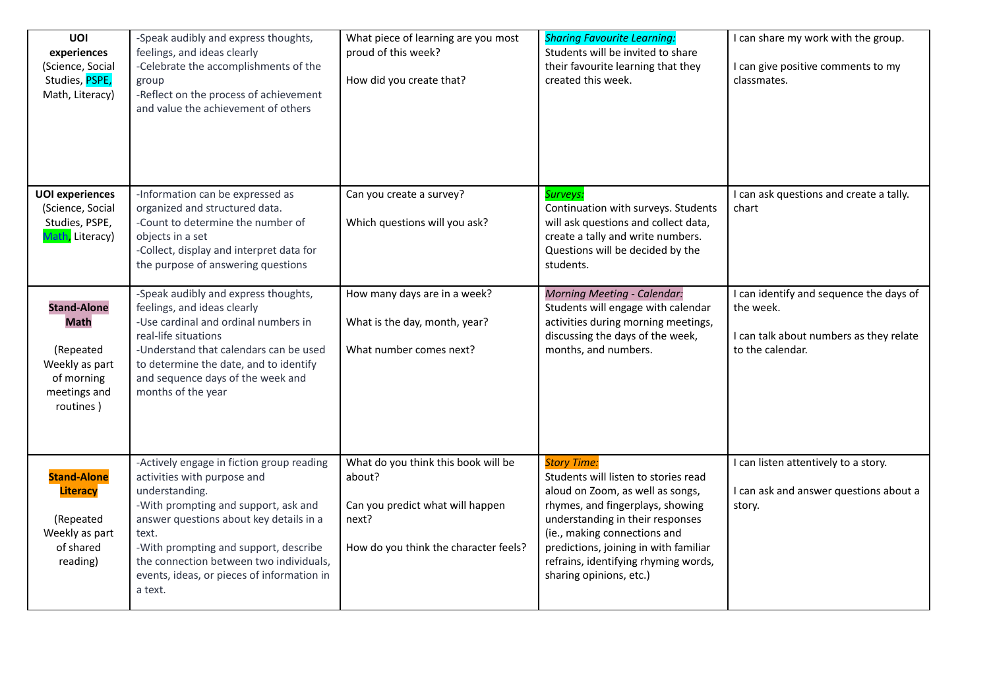| UOI<br>experiences<br>(Science, Social<br>Studies, PSPE,<br>Math, Literacy) | -Speak audibly and express thoughts,<br>feelings, and ideas clearly<br>-Celebrate the accomplishments of the<br>group<br>-Reflect on the process of achievement<br>and value the achievement of others | What piece of learning are you most<br>proud of this week?<br>How did you create that? | <b>Sharing Favourite Learning:</b><br>Students will be invited to share<br>their favourite learning that they<br>created this week.                                                                                       | I can share my work with the group.<br>I can give positive comments to my<br>classmates. |
|-----------------------------------------------------------------------------|--------------------------------------------------------------------------------------------------------------------------------------------------------------------------------------------------------|----------------------------------------------------------------------------------------|---------------------------------------------------------------------------------------------------------------------------------------------------------------------------------------------------------------------------|------------------------------------------------------------------------------------------|
| <b>UOI</b> experiences<br>(Science, Social                                  | -Information can be expressed as<br>organized and structured data.                                                                                                                                     | Can you create a survey?                                                               | Surveys:<br>Continuation with surveys. Students                                                                                                                                                                           | I can ask questions and create a tally.<br>chart                                         |
| Studies, PSPE,<br>Math, Literacy)                                           | -Count to determine the number of<br>objects in a set<br>-Collect, display and interpret data for<br>the purpose of answering questions                                                                | Which questions will you ask?                                                          | will ask questions and collect data,<br>create a tally and write numbers.<br>Questions will be decided by the<br>students.                                                                                                |                                                                                          |
| <b>Stand-Alone</b>                                                          | -Speak audibly and express thoughts,<br>feelings, and ideas clearly                                                                                                                                    | How many days are in a week?                                                           | <b>Morning Meeting - Calendar:</b><br>Students will engage with calendar                                                                                                                                                  | I can identify and sequence the days of<br>the week.                                     |
| <b>Math</b>                                                                 | -Use cardinal and ordinal numbers in<br>real-life situations                                                                                                                                           | What is the day, month, year?                                                          | activities during morning meetings,<br>discussing the days of the week,                                                                                                                                                   | I can talk about numbers as they relate                                                  |
| (Repeated<br>Weekly as part<br>of morning<br>meetings and<br>routines)      | -Understand that calendars can be used<br>to determine the date, and to identify<br>and sequence days of the week and<br>months of the year                                                            | What number comes next?                                                                | months, and numbers.                                                                                                                                                                                                      | to the calendar.                                                                         |
|                                                                             |                                                                                                                                                                                                        |                                                                                        |                                                                                                                                                                                                                           |                                                                                          |
| <b>Stand-Alone</b>                                                          | -Actively engage in fiction group reading<br>activities with purpose and                                                                                                                               | What do you think this book will be<br>about?                                          | <b>Story Time:</b><br>Students will listen to stories read                                                                                                                                                                | I can listen attentively to a story.                                                     |
| <b>Literacy</b><br>(Repeated<br>Weekly as part<br>of shared<br>reading)     | understanding.<br>-With prompting and support, ask and<br>answer questions about key details in a<br>text.<br>-With prompting and support, describe<br>the connection between two individuals,         | Can you predict what will happen<br>next?<br>How do you think the character feels?     | aloud on Zoom, as well as songs,<br>rhymes, and fingerplays, showing<br>understanding in their responses<br>(ie., making connections and<br>predictions, joining in with familiar<br>refrains, identifying rhyming words, | I can ask and answer questions about a<br>story.                                         |
|                                                                             | events, ideas, or pieces of information in<br>a text.                                                                                                                                                  |                                                                                        | sharing opinions, etc.)                                                                                                                                                                                                   |                                                                                          |